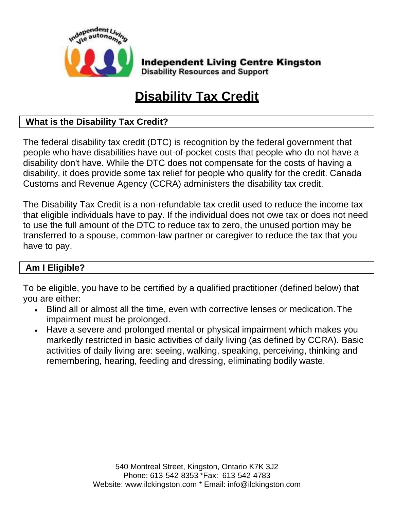

**Independent Living Centre Kingston Disability Resources and Support** 

# **Disability Tax Credit**

## **What is the Disability Tax Credit?**

The federal disability tax credit (DTC) is recognition by the federal government that people who have disabilities have out-of-pocket costs that people who do not have a disability don't have. While the DTC does not compensate for the costs of having a disability, it does provide some tax relief for people who qualify for the credit. Canada Customs and Revenue Agency (CCRA) administers the disability tax credit.

The Disability Tax Credit is a non-refundable tax credit used to reduce the income tax that eligible individuals have to pay. If the individual does not owe tax or does not need to use the full amount of the DTC to reduce tax to zero, the unused portion may be transferred to a spouse, common-law partner or caregiver to reduce the tax that you have to pay.

## **Am I Eligible?**

To be eligible, you have to be certified by a qualified practitioner (defined below) that you are either:

- Blind all or almost all the time, even with corrective lenses or medication.The impairment must be prolonged.
- Have a severe and prolonged mental or physical impairment which makes you markedly restricted in basic activities of daily living (as defined by CCRA). Basic activities of daily living are: seeing, walking, speaking, perceiving, thinking and remembering, hearing, feeding and dressing, eliminating bodily waste.